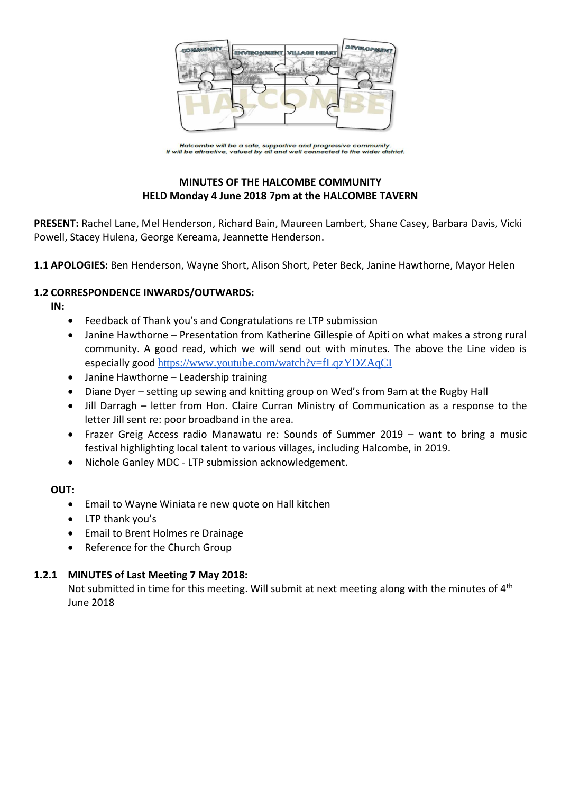

Halcombe will be a safe, supportive and progressive community.<br>It will be attractive, valued by all and well connected to the wider district.

## **MINUTES OF THE HALCOMBE COMMUNITY HELD Monday 4 June 2018 7pm at the HALCOMBE TAVERN**

**PRESENT:** Rachel Lane, Mel Henderson, Richard Bain, Maureen Lambert, Shane Casey, Barbara Davis, Vicki Powell, Stacey Hulena, George Kereama, Jeannette Henderson.

**1.1 APOLOGIES:** Ben Henderson, Wayne Short, Alison Short, Peter Beck, Janine Hawthorne, Mayor Helen

#### **1.2 CORRESPONDENCE INWARDS/OUTWARDS:**

**IN:** 

- Feedback of Thank you's and Congratulations re LTP submission
- Janine Hawthorne Presentation from Katherine Gillespie of Apiti on what makes a strong rural community. A good read, which we will send out with minutes. The above the Line video is especially good <https://www.youtube.com/watch?v=fLqzYDZAqCI>
- Janine Hawthorne Leadership training
- Diane Dyer setting up sewing and knitting group on Wed's from 9am at the Rugby Hall
- Jill Darragh letter from Hon. Claire Curran Ministry of Communication as a response to the letter Jill sent re: poor broadband in the area.
- Frazer Greig Access radio Manawatu re: Sounds of Summer 2019 want to bring a music festival highlighting local talent to various villages, including Halcombe, in 2019.
- Nichole Ganley MDC LTP submission acknowledgement.

### **OUT:**

- Email to Wayne Winiata re new quote on Hall kitchen
- LTP thank you's
- Email to Brent Holmes re Drainage
- Reference for the Church Group

#### **1.2.1 MINUTES of Last Meeting 7 May 2018:**

Not submitted in time for this meeting. Will submit at next meeting along with the minutes of  $4<sup>th</sup>$ June 2018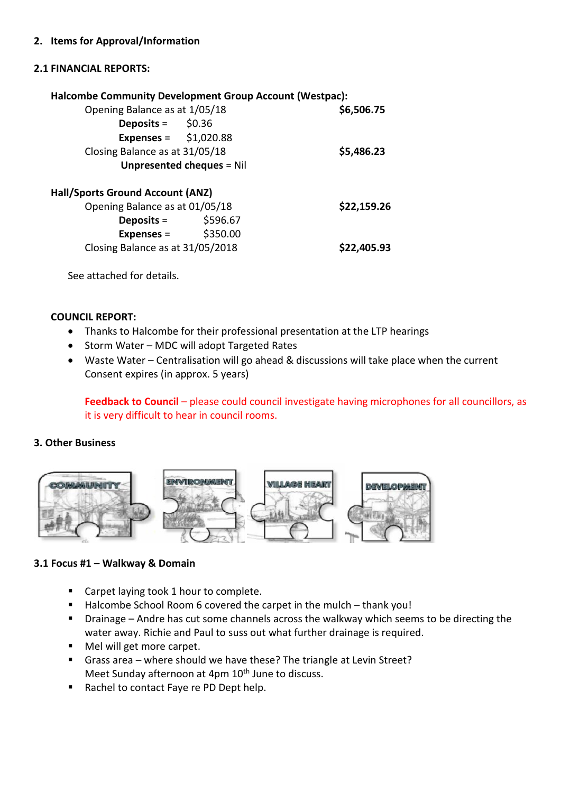#### **2. Items for Approval/Information**

#### **2.1 FINANCIAL REPORTS:**

|                                         | <b>Halcombe Community Development Group Account (Westpac):</b> |             |
|-----------------------------------------|----------------------------------------------------------------|-------------|
| Opening Balance as at 1/05/18           | \$6,506.75                                                     |             |
| <b>Deposits</b> = $\frac{1}{2}$ \$0.36  |                                                                |             |
| <b>Expenses</b> = $$1,020.88$           |                                                                |             |
| Closing Balance as at 31/05/18          |                                                                | \$5,486.23  |
| <b>Unpresented cheques = Nil</b>        |                                                                |             |
| <b>Hall/Sports Ground Account (ANZ)</b> |                                                                |             |
| Opening Balance as at 01/05/18          |                                                                | \$22,159.26 |
| Deposits =                              | \$596.67                                                       |             |
| Expenses = $$350.00$                    |                                                                |             |
| Closing Balance as at 31/05/2018        |                                                                | \$22,405.93 |
|                                         |                                                                |             |

See attached for details.

#### **COUNCIL REPORT:**

- Thanks to Halcombe for their professional presentation at the LTP hearings
- Storm Water MDC will adopt Targeted Rates
- Waste Water Centralisation will go ahead & discussions will take place when the current Consent expires (in approx. 5 years)

**Feedback to Council** – please could council investigate having microphones for all councillors, as it is very difficult to hear in council rooms.

#### **3. Other Business**



### **3.1 Focus #1 – Walkway & Domain**

- Carpet laying took 1 hour to complete.
- Halcombe School Room 6 covered the carpet in the mulch thank you!
- **Drainage Andre has cut some channels across the walkway which seems to be directing the** water away. Richie and Paul to suss out what further drainage is required.
- Mel will get more carpet.
- Grass area where should we have these? The triangle at Levin Street? Meet Sunday afternoon at 4pm 10<sup>th</sup> June to discuss.
- Rachel to contact Faye re PD Dept help.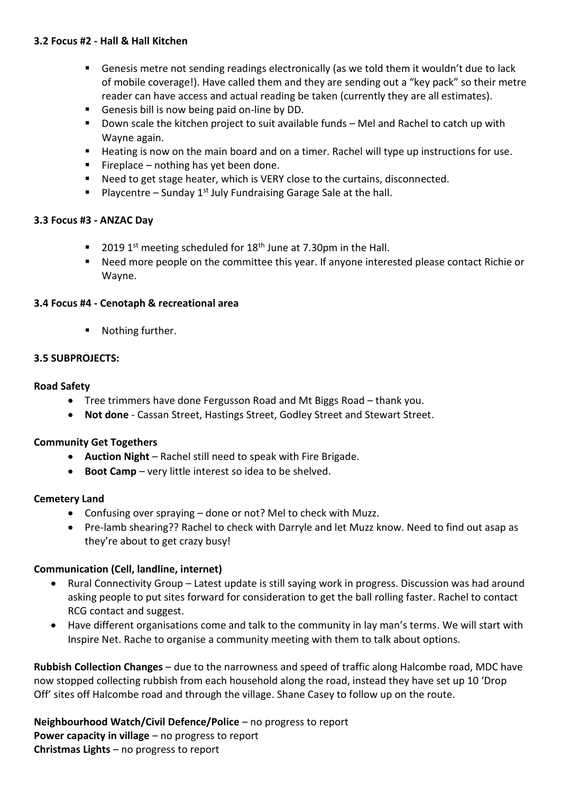### **3.2 Focus #2 - Hall & Hall Kitchen**

- Genesis metre not sending readings electronically (as we told them it wouldn't due to lack of mobile coverage!). Have called them and they are sending out a "key pack" so their metre reader can have access and actual reading be taken (currently they are all estimates).
- Genesis bill is now being paid on-line by DD.
- Down scale the kitchen project to suit available funds Mel and Rachel to catch up with Wayne again.
- Heating is now on the main board and on a timer. Rachel will type up instructions for use.
- Fireplace nothing has yet been done.
- Need to get stage heater, which is VERY close to the curtains, disconnected.
- **Playcentre Sunday 1st July Fundraising Garage Sale at the hall.**

#### **3.3 Focus #3 - ANZAC Day**

- 2019 1<sup>st</sup> meeting scheduled for  $18<sup>th</sup>$  June at 7.30pm in the Hall.
- Need more people on the committee this year. If anyone interested please contact Richie or Wayne.

#### **3.4 Focus #4 - Cenotaph & recreational area**

■ Nothing further.

#### **3.5 SUBPROJECTS:**

#### **Road Safety**

- Tree trimmers have done Fergusson Road and Mt Biggs Road thank you.
- **Not done** Cassan Street, Hastings Street, Godley Street and Stewart Street.

#### **Community Get Togethers**

- **Auction Night** Rachel still need to speak with Fire Brigade.
- **Boot Camp**  very little interest so idea to be shelved.

#### **Cemetery Land**

- Confusing over spraying done or not? Mel to check with Muzz.
- Pre-lamb shearing?? Rachel to check with Darryle and let Muzz know. Need to find out asap as they're about to get crazy busy!

### **Communication (Cell, landline, internet)**

- Rural Connectivity Group Latest update is still saying work in progress. Discussion was had around asking people to put sites forward for consideration to get the ball rolling faster. Rachel to contact RCG contact and suggest.
- Have different organisations come and talk to the community in lay man's terms. We will start with Inspire Net. Rache to organise a community meeting with them to talk about options.

**Rubbish Collection Changes** – due to the narrowness and speed of traffic along Halcombe road, MDC have now stopped collecting rubbish from each household along the road, instead they have set up 10 'Drop Off' sites off Halcombe road and through the village. Shane Casey to follow up on the route.

**Neighbourhood Watch/Civil Defence/Police** – no progress to report **Power capacity in village** – no progress to report **Christmas Lights** – no progress to report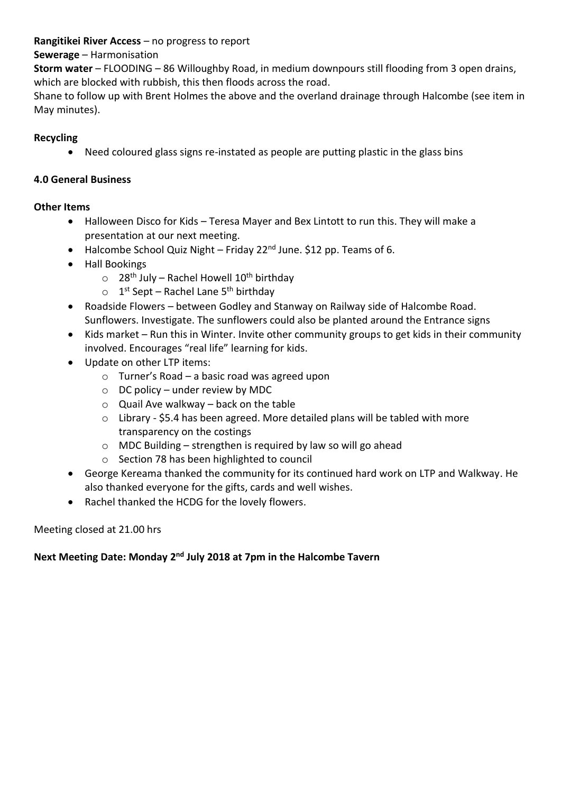## **Rangitikei River Access** – no progress to report

# **Sewerage** – Harmonisation

**Storm water** – FLOODING – 86 Willoughby Road, in medium downpours still flooding from 3 open drains, which are blocked with rubbish, this then floods across the road.

Shane to follow up with Brent Holmes the above and the overland drainage through Halcombe (see item in May minutes).

# **Recycling**

Need coloured glass signs re-instated as people are putting plastic in the glass bins

# **4.0 General Business**

# **Other Items**

- Halloween Disco for Kids Teresa Mayer and Bex Lintott to run this. They will make a presentation at our next meeting.
- Halcombe School Quiz Night Friday 22<sup>nd</sup> June. \$12 pp. Teams of 6.
- Hall Bookings
	- $\circ$  28<sup>th</sup> July Rachel Howell 10<sup>th</sup> birthday
	- o 1<sup>st</sup> Sept Rachel Lane 5<sup>th</sup> birthday
- Roadside Flowers between Godley and Stanway on Railway side of Halcombe Road. Sunflowers. Investigate. The sunflowers could also be planted around the Entrance signs
- Kids market Run this in Winter. Invite other community groups to get kids in their community involved. Encourages "real life" learning for kids.
- Update on other LTP items:
	- o Turner's Road a basic road was agreed upon
	- $\circ$  DC policy under review by MDC
	- $\circ$  Quail Ave walkway back on the table
	- $\circ$  Library \$5.4 has been agreed. More detailed plans will be tabled with more transparency on the costings
	- $\circ$  MDC Building strengthen is required by law so will go ahead
	- o Section 78 has been highlighted to council
- George Kereama thanked the community for its continued hard work on LTP and Walkway. He also thanked everyone for the gifts, cards and well wishes.
- Rachel thanked the HCDG for the lovely flowers.

# Meeting closed at 21.00 hrs

# **Next Meeting Date: Monday 2<sup>nd</sup> July 2018 at 7pm in the Halcombe Tavern**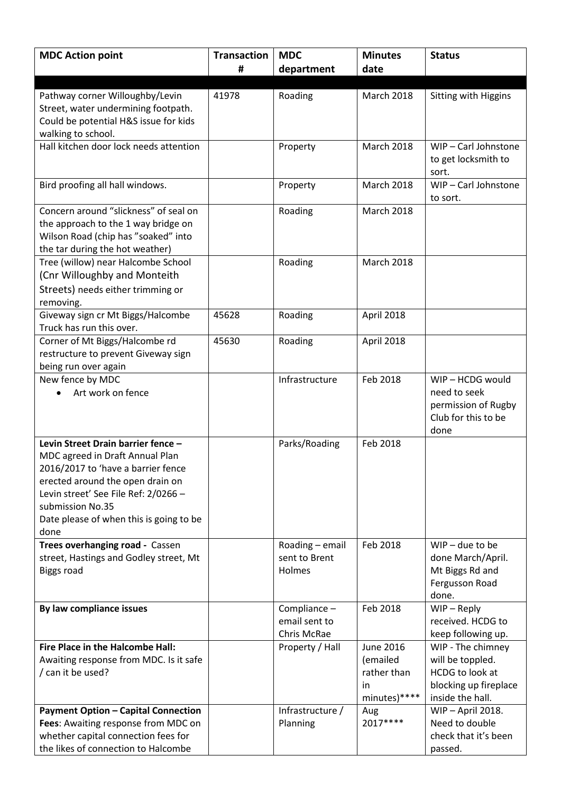| <b>MDC Action point</b>                                               | <b>Transaction</b> | <b>MDC</b>       | <b>Minutes</b>    | <b>Status</b>          |
|-----------------------------------------------------------------------|--------------------|------------------|-------------------|------------------------|
|                                                                       | #                  | department       | date              |                        |
|                                                                       |                    |                  |                   |                        |
| Pathway corner Willoughby/Levin                                       | 41978              | Roading          | <b>March 2018</b> | Sitting with Higgins   |
| Street, water undermining footpath.                                   |                    |                  |                   |                        |
| Could be potential H&S issue for kids                                 |                    |                  |                   |                        |
| walking to school.                                                    |                    |                  |                   |                        |
| Hall kitchen door lock needs attention                                |                    | Property         | <b>March 2018</b> | WIP-Carl Johnstone     |
|                                                                       |                    |                  |                   | to get locksmith to    |
|                                                                       |                    |                  |                   | sort.                  |
| Bird proofing all hall windows.                                       |                    | Property         | <b>March 2018</b> | WIP-Carl Johnstone     |
|                                                                       |                    |                  |                   | to sort.               |
| Concern around "slickness" of seal on                                 |                    | Roading          | March 2018        |                        |
| the approach to the 1 way bridge on                                   |                    |                  |                   |                        |
| Wilson Road (chip has "soaked" into                                   |                    |                  |                   |                        |
| the tar during the hot weather)<br>Tree (willow) near Halcombe School |                    | Roading          | <b>March 2018</b> |                        |
| (Cnr Willoughby and Monteith                                          |                    |                  |                   |                        |
|                                                                       |                    |                  |                   |                        |
| Streets) needs either trimming or<br>removing.                        |                    |                  |                   |                        |
| Giveway sign cr Mt Biggs/Halcombe                                     | 45628              | Roading          | April 2018        |                        |
| Truck has run this over.                                              |                    |                  |                   |                        |
| Corner of Mt Biggs/Halcombe rd                                        | 45630              | Roading          | April 2018        |                        |
| restructure to prevent Giveway sign                                   |                    |                  |                   |                        |
| being run over again                                                  |                    |                  |                   |                        |
| New fence by MDC                                                      |                    | Infrastructure   | Feb 2018          | WIP-HCDG would         |
| Art work on fence                                                     |                    |                  |                   | need to seek           |
|                                                                       |                    |                  |                   | permission of Rugby    |
|                                                                       |                    |                  |                   | Club for this to be    |
|                                                                       |                    |                  |                   | done                   |
| Levin Street Drain barrier fence -                                    |                    | Parks/Roading    | Feb 2018          |                        |
| MDC agreed in Draft Annual Plan                                       |                    |                  |                   |                        |
| 2016/2017 to 'have a barrier fence                                    |                    |                  |                   |                        |
| erected around the open drain on                                      |                    |                  |                   |                        |
| Levin street' See File Ref: 2/0266 -                                  |                    |                  |                   |                        |
| submission No.35                                                      |                    |                  |                   |                        |
| Date please of when this is going to be<br>done                       |                    |                  |                   |                        |
| Trees overhanging road - Cassen                                       |                    | Roading - email  | Feb 2018          | $WIP$ – due to be      |
| street, Hastings and Godley street, Mt                                |                    | sent to Brent    |                   | done March/April.      |
| <b>Biggs road</b>                                                     |                    | Holmes           |                   | Mt Biggs Rd and        |
|                                                                       |                    |                  |                   | Fergusson Road         |
|                                                                       |                    |                  |                   | done.                  |
| By law compliance issues                                              |                    | Compliance -     | Feb 2018          | $WIP - Reply$          |
|                                                                       |                    | email sent to    |                   | received. HCDG to      |
|                                                                       |                    | Chris McRae      |                   | keep following up.     |
| Fire Place in the Halcombe Hall:                                      |                    | Property / Hall  | <b>June 2016</b>  | WIP - The chimney      |
| Awaiting response from MDC. Is it safe                                |                    |                  | (emailed          | will be toppled.       |
| / can it be used?                                                     |                    |                  | rather than       | <b>HCDG</b> to look at |
|                                                                       |                    |                  | in                | blocking up fireplace  |
|                                                                       |                    |                  | minutes)****      | inside the hall.       |
| <b>Payment Option - Capital Connection</b>                            |                    | Infrastructure / | Aug               | WIP-April 2018.        |
| Fees: Awaiting response from MDC on                                   |                    | Planning         | 2017****          | Need to double         |
| whether capital connection fees for                                   |                    |                  |                   | check that it's been   |
| the likes of connection to Halcombe                                   |                    |                  |                   | passed.                |